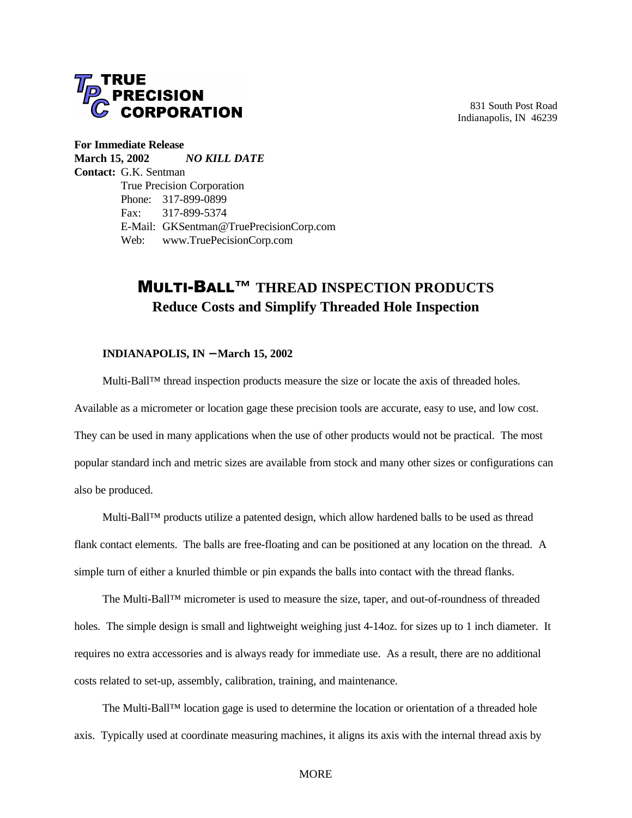

831 South Post Road Indianapolis, IN 46239

**For Immediate Release March 15, 2002** *NO KILL DATE* **Contact:** G.K. Sentman True Precision Corporation Phone: 317-899-0899 Fax: 317-899-5374 E-Mail: GKSentman@TruePrecisionCorp.com Web: www.TruePecisionCorp.com

## MULTI-BALL**™ THREAD INSPECTION PRODUCTS Reduce Costs and Simplify Threaded Hole Inspection**

## **INDIANAPOLIS, IN** − **March 15, 2002**

Multi-Ball™ thread inspection products measure the size or locate the axis of threaded holes. Available as a micrometer or location gage these precision tools are accurate, easy to use, and low cost. They can be used in many applications when the use of other products would not be practical. The most popular standard inch and metric sizes are available from stock and many other sizes or configurations can also be produced.

Multi-Ball™ products utilize a patented design, which allow hardened balls to be used as thread flank contact elements. The balls are free-floating and can be positioned at any location on the thread. A simple turn of either a knurled thimble or pin expands the balls into contact with the thread flanks.

The Multi-Ball™ micrometer is used to measure the size, taper, and out-of-roundness of threaded holes. The simple design is small and lightweight weighing just 4-14oz. for sizes up to 1 inch diameter. It requires no extra accessories and is always ready for immediate use. As a result, there are no additional costs related to set-up, assembly, calibration, training, and maintenance.

The Multi-Ball™ location gage is used to determine the location or orientation of a threaded hole axis. Typically used at coordinate measuring machines, it aligns its axis with the internal thread axis by